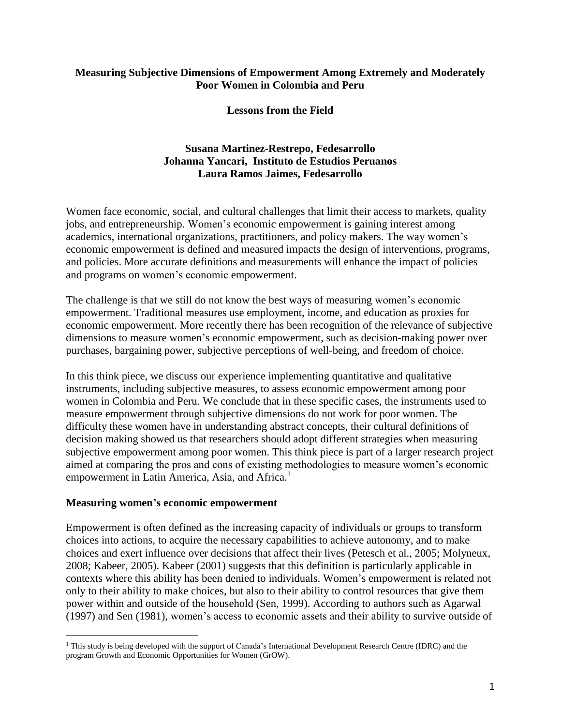# **Measuring Subjective Dimensions of Empowerment Among Extremely and Moderately Poor Women in Colombia and Peru**

# **Lessons from the Field**

# **Susana Martinez-Restrepo, Fedesarrollo Johanna Yancari, Instituto de Estudios Peruanos Laura Ramos Jaimes, Fedesarrollo**

Women face economic, social, and cultural challenges that limit their access to markets, quality jobs, and entrepreneurship. Women's economic empowerment is gaining interest among academics, international organizations, practitioners, and policy makers. The way women's economic empowerment is defined and measured impacts the design of interventions, programs, and policies. More accurate definitions and measurements will enhance the impact of policies and programs on women's economic empowerment.

The challenge is that we still do not know the best ways of measuring women's economic empowerment. Traditional measures use employment, income, and education as proxies for economic empowerment. More recently there has been recognition of the relevance of subjective dimensions to measure women's economic empowerment, such as decision-making power over purchases, bargaining power, subjective perceptions of well-being, and freedom of choice.

In this think piece, we discuss our experience implementing quantitative and qualitative instruments, including subjective measures, to assess economic empowerment among poor women in Colombia and Peru. We conclude that in these specific cases, the instruments used to measure empowerment through subjective dimensions do not work for poor women. The difficulty these women have in understanding abstract concepts, their cultural definitions of decision making showed us that researchers should adopt different strategies when measuring subjective empowerment among poor women. This think piece is part of a larger research project aimed at comparing the pros and cons of existing methodologies to measure women's economic empowerment in Latin America, Asia, and Africa.<sup>1</sup>

### **Measuring women's economic empowerment**

 $\overline{a}$ 

Empowerment is often defined as the increasing capacity of individuals or groups to transform choices into actions, to acquire the necessary capabilities to achieve autonomy, and to make choices and exert influence over decisions that affect their lives (Petesch et al., 2005; Molyneux, 2008; Kabeer, 2005). Kabeer (2001) suggests that this definition is particularly applicable in contexts where this ability has been denied to individuals. Women's empowerment is related not only to their ability to make choices, but also to their ability to control resources that give them power within and outside of the household (Sen, 1999). According to authors such as Agarwal (1997) and Sen (1981), women's access to economic assets and their ability to survive outside of

<sup>&</sup>lt;sup>1</sup> This study is being developed with the support of Canada's International Development Research Centre (IDRC) and the program Growth and Economic Opportunities for Women (GrOW).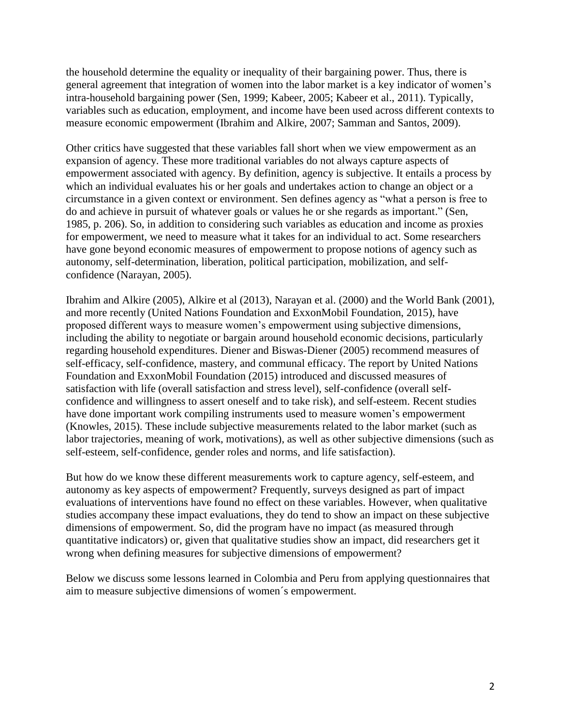the household determine the equality or inequality of their bargaining power. Thus, there is general agreement that integration of women into the labor market is a key indicator of women's intra-household bargaining power (Sen, 1999; Kabeer, 2005; Kabeer et al., 2011). Typically, variables such as education, employment, and income have been used across different contexts to measure economic empowerment (Ibrahim and Alkire, 2007; Samman and Santos, 2009).

Other critics have suggested that these variables fall short when we view empowerment as an expansion of agency. These more traditional variables do not always capture aspects of empowerment associated with agency. By definition, agency is subjective. It entails a process by which an individual evaluates his or her goals and undertakes action to change an object or a circumstance in a given context or environment. Sen defines agency as "what a person is free to do and achieve in pursuit of whatever goals or values he or she regards as important." (Sen, 1985, p. 206). So, in addition to considering such variables as education and income as proxies for empowerment, we need to measure what it takes for an individual to act. Some researchers have gone beyond economic measures of empowerment to propose notions of agency such as autonomy, self-determination, liberation, political participation, mobilization, and selfconfidence (Narayan, 2005).

Ibrahim and Alkire (2005), Alkire et al (2013), Narayan et al. (2000) and the World Bank (2001), and more recently (United Nations Foundation and ExxonMobil Foundation, 2015), have proposed different ways to measure women's empowerment using subjective dimensions, including the ability to negotiate or bargain around household economic decisions, particularly regarding household expenditures. Diener and Biswas-Diener (2005) recommend measures of self-efficacy, self-confidence, mastery, and communal efficacy. The report by United Nations Foundation and ExxonMobil Foundation (2015) introduced and discussed measures of satisfaction with life (overall satisfaction and stress level), self-confidence (overall selfconfidence and willingness to assert oneself and to take risk), and self-esteem. Recent studies have done important work compiling instruments used to measure women's empowerment (Knowles, 2015). These include subjective measurements related to the labor market (such as labor trajectories, meaning of work, motivations), as well as other subjective dimensions (such as self-esteem, self-confidence, gender roles and norms, and life satisfaction).

But how do we know these different measurements work to capture agency, self-esteem, and autonomy as key aspects of empowerment? Frequently, surveys designed as part of impact evaluations of interventions have found no effect on these variables. However, when qualitative studies accompany these impact evaluations, they do tend to show an impact on these subjective dimensions of empowerment. So, did the program have no impact (as measured through quantitative indicators) or, given that qualitative studies show an impact, did researchers get it wrong when defining measures for subjective dimensions of empowerment?

Below we discuss some lessons learned in Colombia and Peru from applying questionnaires that aim to measure subjective dimensions of women´s empowerment.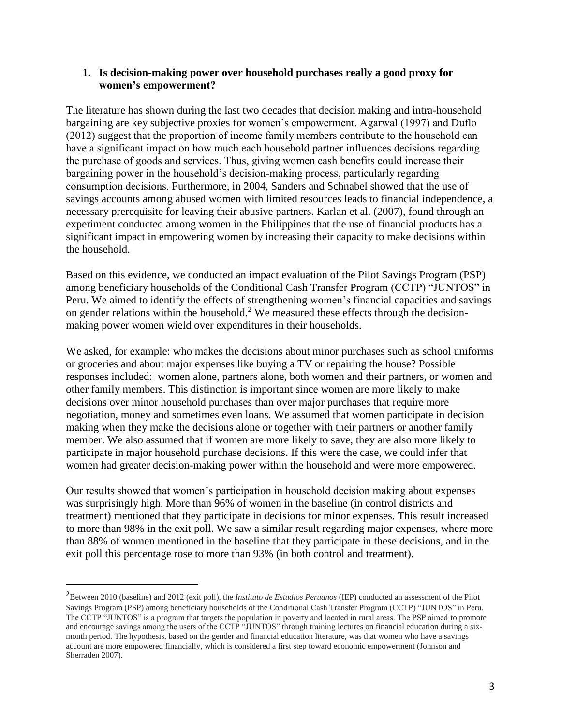# **1. Is decision-making power over household purchases really a good proxy for women's empowerment?**

The literature has shown during the last two decades that decision making and intra-household bargaining are key subjective proxies for women's empowerment. Agarwal (1997) and Duflo (2012) suggest that the proportion of income family members contribute to the household can have a significant impact on how much each household partner influences decisions regarding the purchase of goods and services. Thus, giving women cash benefits could increase their bargaining power in the household's decision-making process, particularly regarding consumption decisions. Furthermore, in 2004, Sanders and Schnabel showed that the use of savings accounts among abused women with limited resources leads to financial independence, a necessary prerequisite for leaving their abusive partners. Karlan et al. (2007), found through an experiment conducted among women in the Philippines that the use of financial products has a significant impact in empowering women by increasing their capacity to make decisions within the household.

Based on this evidence, we conducted an impact evaluation of the Pilot Savings Program (PSP) among beneficiary households of the Conditional Cash Transfer Program (CCTP) "JUNTOS" in Peru. We aimed to identify the effects of strengthening women's financial capacities and savings on gender relations within the household.<sup>2</sup> We measured these effects through the decisionmaking power women wield over expenditures in their households.

We asked, for example: who makes the decisions about minor purchases such as school uniforms or groceries and about major expenses like buying a TV or repairing the house? Possible responses included: women alone, partners alone, both women and their partners, or women and other family members. This distinction is important since women are more likely to make decisions over minor household purchases than over major purchases that require more negotiation, money and sometimes even loans. We assumed that women participate in decision making when they make the decisions alone or together with their partners or another family member. We also assumed that if women are more likely to save, they are also more likely to participate in major household purchase decisions. If this were the case, we could infer that women had greater decision-making power within the household and were more empowered.

Our results showed that women's participation in household decision making about expenses was surprisingly high. More than 96% of women in the baseline (in control districts and treatment) mentioned that they participate in decisions for minor expenses. This result increased to more than 98% in the exit poll. We saw a similar result regarding major expenses, where more than 88% of women mentioned in the baseline that they participate in these decisions, and in the exit poll this percentage rose to more than 93% (in both control and treatment).

 $\overline{a}$ 

<sup>2</sup>Between 2010 (baseline) and 2012 (exit poll), the *Instituto de Estudios Peruanos* (IEP) conducted an assessment of the Pilot Savings Program (PSP) among beneficiary households of the Conditional Cash Transfer Program (CCTP) "JUNTOS" in Peru. The CCTP "JUNTOS" is a program that targets the population in poverty and located in rural areas. The PSP aimed to promote and encourage savings among the users of the CCTP "JUNTOS" through training lectures on financial education during a sixmonth period. The hypothesis, based on the gender and financial education literature, was that women who have a savings account are more empowered financially, which is considered a first step toward economic empowerment (Johnson and Sherraden 2007).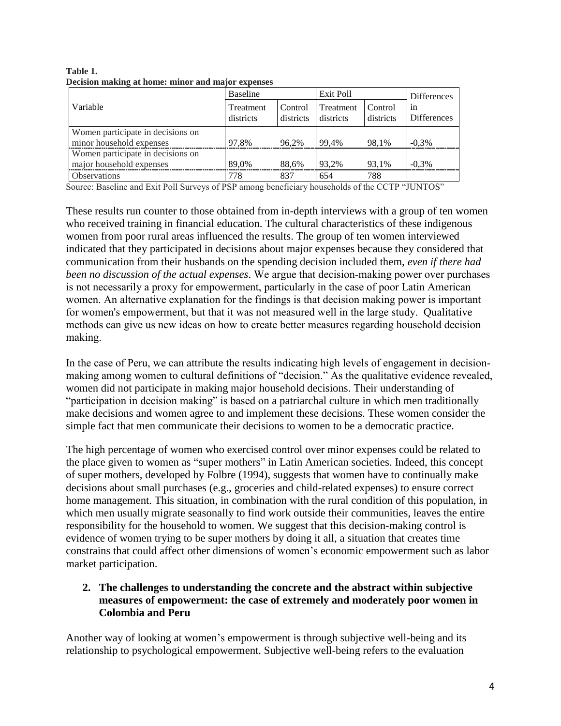|                                                               | Baseline                      |                      |                        | Exit Poll            |                   |
|---------------------------------------------------------------|-------------------------------|----------------------|------------------------|----------------------|-------------------|
| Variable                                                      | <b>Treatment</b><br>districts | Control<br>districts | Treatment<br>districts | Control<br>districts | 1n<br>Differences |
| Women participate in decisions on<br>minor household expenses | 97.8%                         | 96.2%                | 99.4%                  | 98.1%                | $-0.3\%$          |
| Women participate in decisions on<br>major household expenses | 89.0%                         | 88,6%                | 93.2%                  | 93,1%                | $-0.3\%$          |
| <b>Observations</b>                                           | 778                           | 837                  | 654                    | 788                  |                   |

**Table 1. Decision making at home: minor and major expenses**

Source: Baseline and Exit Poll Surveys of PSP among beneficiary households of the CCTP "JUNTOS"

These results run counter to those obtained from in-depth interviews with a group of ten women who received training in financial education. The cultural characteristics of these indigenous women from poor rural areas influenced the results. The group of ten women interviewed indicated that they participated in decisions about major expenses because they considered that communication from their husbands on the spending decision included them, *even if there had been no discussion of the actual expenses*. We argue that decision-making power over purchases is not necessarily a proxy for empowerment, particularly in the case of poor Latin American women. An alternative explanation for the findings is that decision making power is important for women's empowerment, but that it was not measured well in the large study. Qualitative methods can give us new ideas on how to create better measures regarding household decision making.

In the case of Peru, we can attribute the results indicating high levels of engagement in decisionmaking among women to cultural definitions of "decision." As the qualitative evidence revealed, women did not participate in making major household decisions. Their understanding of "participation in decision making" is based on a patriarchal culture in which men traditionally make decisions and women agree to and implement these decisions. These women consider the simple fact that men communicate their decisions to women to be a democratic practice.

The high percentage of women who exercised control over minor expenses could be related to the place given to women as "super mothers" in Latin American societies. Indeed, this concept of super mothers, developed by Folbre (1994), suggests that women have to continually make decisions about small purchases (e.g., groceries and child-related expenses) to ensure correct home management. This situation, in combination with the rural condition of this population, in which men usually migrate seasonally to find work outside their communities, leaves the entire responsibility for the household to women. We suggest that this decision-making control is evidence of women trying to be super mothers by doing it all, a situation that creates time constrains that could affect other dimensions of women's economic empowerment such as labor market participation.

# **2. The challenges to understanding the concrete and the abstract within subjective measures of empowerment: the case of extremely and moderately poor women in Colombia and Peru**

Another way of looking at women's empowerment is through subjective well-being and its relationship to psychological empowerment. Subjective well-being refers to the evaluation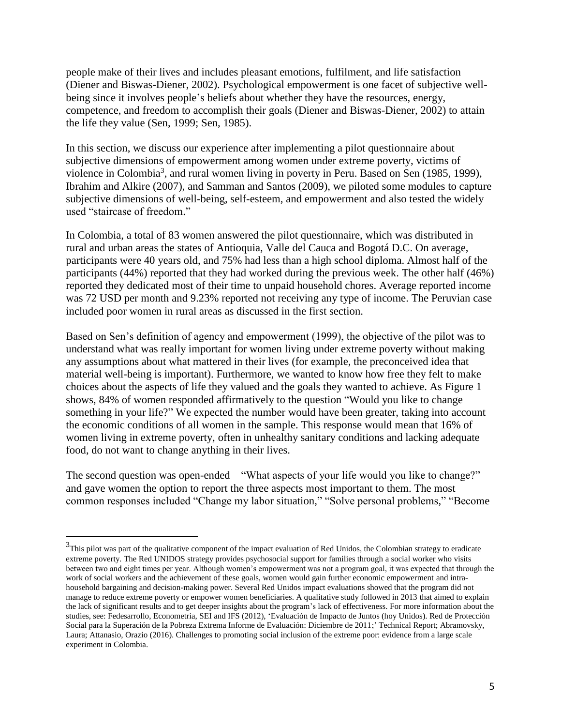people make of their lives and includes pleasant emotions, fulfilment, and life satisfaction (Diener and Biswas-Diener, 2002). Psychological empowerment is one facet of subjective wellbeing since it involves people's beliefs about whether they have the resources, energy, competence, and freedom to accomplish their goals (Diener and Biswas-Diener, 2002) to attain the life they value (Sen, 1999; Sen, 1985).

In this section, we discuss our experience after implementing a pilot questionnaire about subjective dimensions of empowerment among women under extreme poverty, victims of violence in Colombia<sup>3</sup>, and rural women living in poverty in Peru. Based on Sen (1985, 1999), Ibrahim and Alkire (2007), and Samman and Santos (2009), we piloted some modules to capture subjective dimensions of well-being, self-esteem, and empowerment and also tested the widely used "staircase of freedom."

In Colombia, a total of 83 women answered the pilot questionnaire, which was distributed in rural and urban areas the states of Antioquia, Valle del Cauca and Bogotá D.C. On average, participants were 40 years old, and 75% had less than a high school diploma. Almost half of the participants (44%) reported that they had worked during the previous week. The other half (46%) reported they dedicated most of their time to unpaid household chores. Average reported income was 72 USD per month and 9.23% reported not receiving any type of income. The Peruvian case included poor women in rural areas as discussed in the first section.

Based on Sen's definition of agency and empowerment (1999), the objective of the pilot was to understand what was really important for women living under extreme poverty without making any assumptions about what mattered in their lives (for example, the preconceived idea that material well-being is important). Furthermore, we wanted to know how free they felt to make choices about the aspects of life they valued and the goals they wanted to achieve. As Figure 1 shows, 84% of women responded affirmatively to the question "Would you like to change something in your life?" We expected the number would have been greater, taking into account the economic conditions of all women in the sample. This response would mean that 16% of women living in extreme poverty, often in unhealthy sanitary conditions and lacking adequate food, do not want to change anything in their lives.

The second question was open-ended—"What aspects of your life would you like to change?" and gave women the option to report the three aspects most important to them. The most common responses included "Change my labor situation," "Solve personal problems," "Become

 $\overline{a}$ 

 $3$ This pilot was part of the qualitative component of the impact evaluation of Red Unidos, the Colombian strategy to eradicate extreme poverty. The Red UNIDOS strategy provides psychosocial support for families through a social worker who visits between two and eight times per year. Although women's empowerment was not a program goal, it was expected that through the work of social workers and the achievement of these goals, women would gain further economic empowerment and intrahousehold bargaining and decision-making power. Several Red Unidos impact evaluations showed that the program did not manage to reduce extreme poverty or empower women beneficiaries. A qualitative study followed in 2013 that aimed to explain the lack of significant results and to get deeper insights about the program's lack of effectiveness. For more information about the studies, see: Fedesarrollo, Econometría, SEI and IFS (2012), 'Evaluación de Impacto de Juntos (hoy Unidos). Red de Protección Social para la Superación de la Pobreza Extrema Informe de Evaluación: Diciembre de 2011;' Technical Report; Abramovsky, Laura; Attanasio, Orazio (2016). Challenges to promoting social inclusion of the extreme poor: evidence from a large scale experiment in Colombia.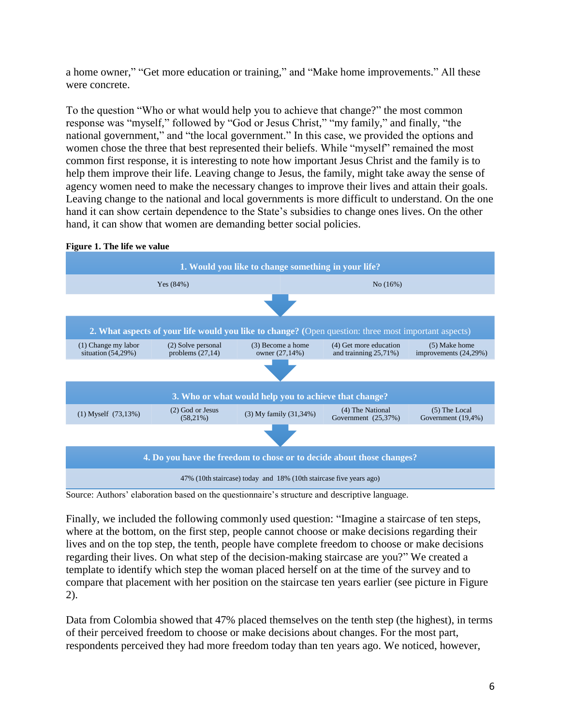a home owner," "Get more education or training," and "Make home improvements." All these were concrete.

To the question "Who or what would help you to achieve that change?" the most common response was "myself," followed by "God or Jesus Christ," "my family," and finally, "the national government," and "the local government." In this case, we provided the options and women chose the three that best represented their beliefs. While "myself" remained the most common first response, it is interesting to note how important Jesus Christ and the family is to help them improve their life. Leaving change to Jesus, the family, might take away the sense of agency women need to make the necessary changes to improve their lives and attain their goals. Leaving change to the national and local governments is more difficult to understand. On the one hand it can show certain dependence to the State's subsidies to change ones lives. On the other hand, it can show that women are demanding better social policies.



**Figure 1. The life we value**

Source: Authors' elaboration based on the questionnaire's structure and descriptive language.

Finally, we included the following commonly used question: "Imagine a staircase of ten steps, where at the bottom, on the first step, people cannot choose or make decisions regarding their lives and on the top step, the tenth, people have complete freedom to choose or make decisions regarding their lives. On what step of the decision-making staircase are you?" We created a template to identify which step the woman placed herself on at the time of the survey and to compare that placement with her position on the staircase ten years earlier (see picture in Figure 2).

Data from Colombia showed that 47% placed themselves on the tenth step (the highest), in terms of their perceived freedom to choose or make decisions about changes. For the most part, respondents perceived they had more freedom today than ten years ago. We noticed, however,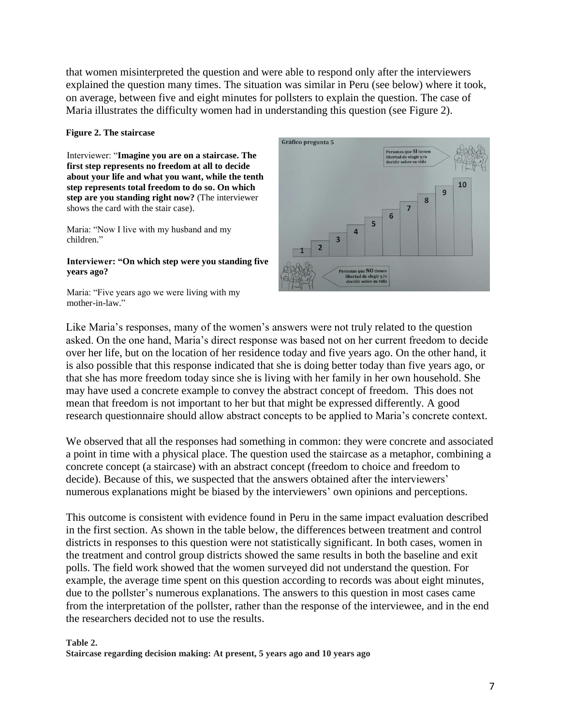that women misinterpreted the question and were able to respond only after the interviewers explained the question many times. The situation was similar in Peru (see below) where it took, on average, between five and eight minutes for pollsters to explain the question. The case of Maria illustrates the difficulty women had in understanding this question (see Figure 2).

#### **Figure 2. The staircase**

Interviewer: "**Imagine you are on a staircase. The first step represents no freedom at all to decide about your life and what you want, while the tenth step represents total freedom to do so. On which step are you standing right now?** (The interviewer shows the card with the stair case).

Maria: "Now I live with my husband and my children."

#### **Interviewer: "On which step were you standing five years ago?**

Maria: "Five years ago we were living with my mother-in-law."



Like Maria's responses, many of the women's answers were not truly related to the question asked. On the one hand, Maria's direct response was based not on her current freedom to decide over her life, but on the location of her residence today and five years ago. On the other hand, it is also possible that this response indicated that she is doing better today than five years ago, or that she has more freedom today since she is living with her family in her own household. She may have used a concrete example to convey the abstract concept of freedom. This does not mean that freedom is not important to her but that might be expressed differently. A good research questionnaire should allow abstract concepts to be applied to Maria's concrete context.

We observed that all the responses had something in common: they were concrete and associated a point in time with a physical place. The question used the staircase as a metaphor, combining a concrete concept (a staircase) with an abstract concept (freedom to choice and freedom to decide). Because of this, we suspected that the answers obtained after the interviewers' numerous explanations might be biased by the interviewers' own opinions and perceptions.

This outcome is consistent with evidence found in Peru in the same impact evaluation described in the first section. As shown in the table below, the differences between treatment and control districts in responses to this question were not statistically significant. In both cases, women in the treatment and control group districts showed the same results in both the baseline and exit polls. The field work showed that the women surveyed did not understand the question. For example, the average time spent on this question according to records was about eight minutes, due to the pollster's numerous explanations. The answers to this question in most cases came from the interpretation of the pollster, rather than the response of the interviewee, and in the end the researchers decided not to use the results.

# **Table 2.**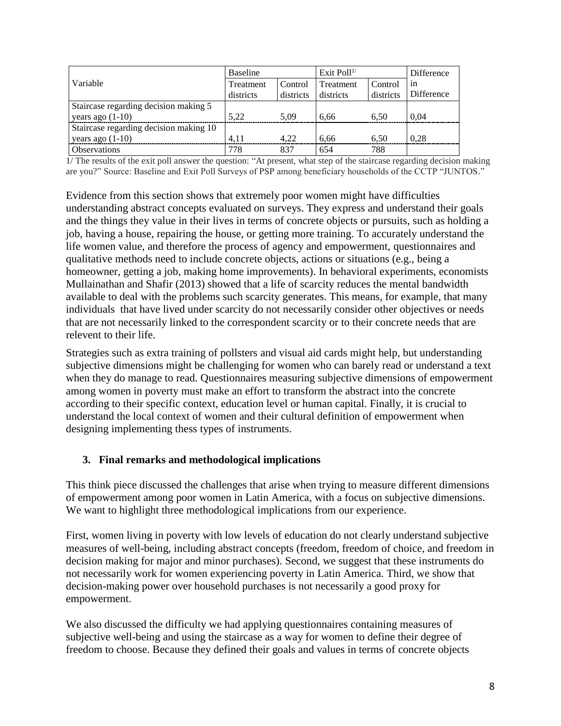|                                        | <b>Baseline</b> |           | Exit Poll $^{1/}$ |           | <b>Difference</b> |
|----------------------------------------|-----------------|-----------|-------------------|-----------|-------------------|
| Variable                               | Treatment       | Control   | Treatment         | Control   | 1n                |
|                                        | districts       | districts | districts         | districts | <b>Difference</b> |
| Staircase regarding decision making 5  |                 |           |                   |           |                   |
| years ago $(1-10)$                     | 5.22            | 5.09      | 6.66              | 6.50      | 0.04              |
| Staircase regarding decision making 10 |                 |           |                   |           |                   |
| years ago $(1-10)$                     | 4.11            | 4.22      | 6.66              | 6.50      | 0.28              |
| <b>Observations</b>                    | 778             | 837       | 654               | 788       |                   |

1/ The results of the exit poll answer the question: "At present, what step of the staircase regarding decision making are you?" Source: Baseline and Exit Poll Surveys of PSP among beneficiary households of the CCTP "JUNTOS."

Evidence from this section shows that extremely poor women might have difficulties understanding abstract concepts evaluated on surveys. They express and understand their goals and the things they value in their lives in terms of concrete objects or pursuits, such as holding a job, having a house, repairing the house, or getting more training. To accurately understand the life women value, and therefore the process of agency and empowerment, questionnaires and qualitative methods need to include concrete objects, actions or situations (e.g., being a homeowner, getting a job, making home improvements). In behavioral experiments, economists Mullainathan and Shafir (2013) showed that a life of scarcity reduces the mental bandwidth available to deal with the problems such scarcity generates. This means, for example, that many individuals that have lived under scarcity do not necessarily consider other objectives or needs that are not necessarily linked to the correspondent scarcity or to their concrete needs that are relevent to their life.

Strategies such as extra training of pollsters and visual aid cards might help, but understanding subjective dimensions might be challenging for women who can barely read or understand a text when they do manage to read. Questionnaires measuring subjective dimensions of empowerment among women in poverty must make an effort to transform the abstract into the concrete according to their specific context, education level or human capital. Finally, it is crucial to understand the local context of women and their cultural definition of empowerment when designing implementing thess types of instruments.

# **3. Final remarks and methodological implications**

This think piece discussed the challenges that arise when trying to measure different dimensions of empowerment among poor women in Latin America, with a focus on subjective dimensions. We want to highlight three methodological implications from our experience.

First, women living in poverty with low levels of education do not clearly understand subjective measures of well-being, including abstract concepts (freedom, freedom of choice, and freedom in decision making for major and minor purchases). Second, we suggest that these instruments do not necessarily work for women experiencing poverty in Latin America. Third, we show that decision-making power over household purchases is not necessarily a good proxy for empowerment.

We also discussed the difficulty we had applying questionnaires containing measures of subjective well-being and using the staircase as a way for women to define their degree of freedom to choose. Because they defined their goals and values in terms of concrete objects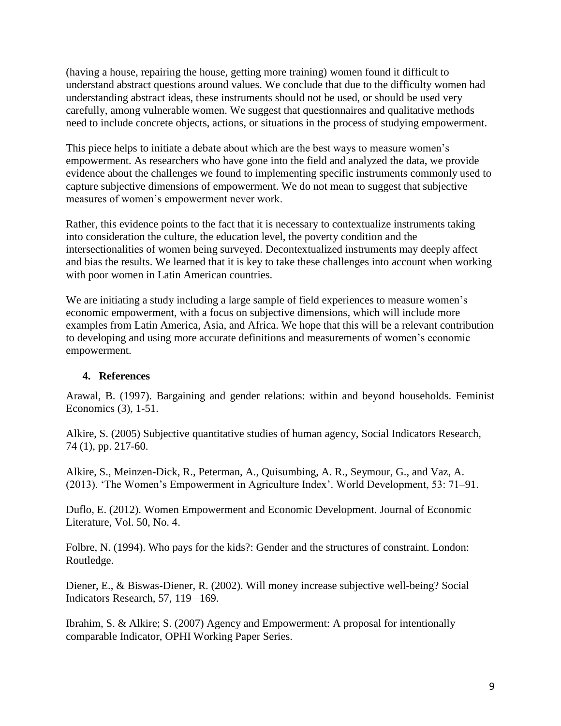(having a house, repairing the house, getting more training) women found it difficult to understand abstract questions around values. We conclude that due to the difficulty women had understanding abstract ideas, these instruments should not be used, or should be used very carefully, among vulnerable women. We suggest that questionnaires and qualitative methods need to include concrete objects, actions, or situations in the process of studying empowerment.

This piece helps to initiate a debate about which are the best ways to measure women's empowerment. As researchers who have gone into the field and analyzed the data, we provide evidence about the challenges we found to implementing specific instruments commonly used to capture subjective dimensions of empowerment. We do not mean to suggest that subjective measures of women's empowerment never work.

Rather, this evidence points to the fact that it is necessary to contextualize instruments taking into consideration the culture, the education level, the poverty condition and the intersectionalities of women being surveyed. Decontextualized instruments may deeply affect and bias the results. We learned that it is key to take these challenges into account when working with poor women in Latin American countries.

We are initiating a study including a large sample of field experiences to measure women's economic empowerment, with a focus on subjective dimensions, which will include more examples from Latin America, Asia, and Africa. We hope that this will be a relevant contribution to developing and using more accurate definitions and measurements of women's economic empowerment.

# **4. References**

Arawal, B. (1997). Bargaining and gender relations: within and beyond households. Feminist Economics (3), 1-51.

Alkire, S. (2005) Subjective quantitative studies of human agency, Social Indicators Research, 74 (1), pp. 217-60.

Alkire, S., Meinzen-Dick, R., Peterman, A., Quisumbing, A. R., Seymour, G., and Vaz, A. (2013). 'The Women's Empowerment in Agriculture Index'. World Development, 53: 71–91.

Duflo, E. (2012). Women Empowerment and Economic Development. Journal of Economic Literature, Vol. 50, No. 4.

Folbre, N. (1994). Who pays for the kids?: Gender and the structures of constraint. London: Routledge.

Diener, E., & Biswas-Diener, R. (2002). Will money increase subjective well-being? Social Indicators Research, 57, 119 –169.

Ibrahim, S. & Alkire; S. (2007) Agency and Empowerment: A proposal for intentionally comparable Indicator, OPHI Working Paper Series.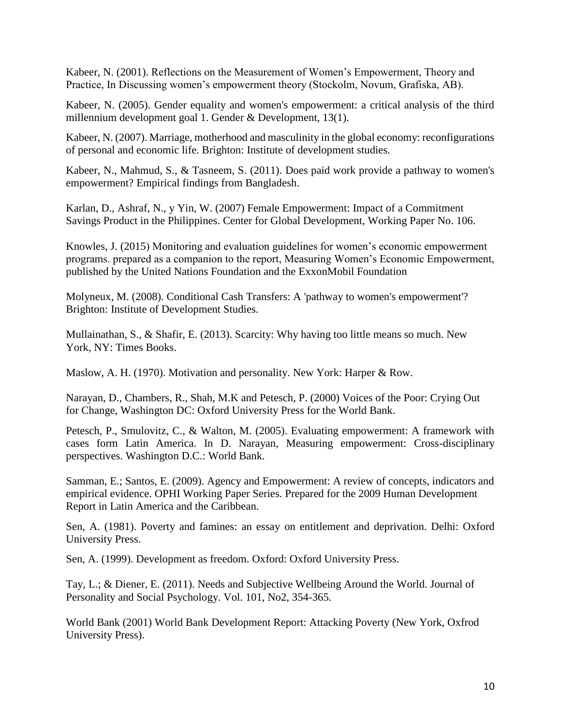Kabeer, N. (2001). Reflections on the Measurement of Women's Empowerment, Theory and Practice, In Discussing women's empowerment theory (Stockolm, Novum, Grafiska, AB).

Kabeer, N. (2005). Gender equality and women's empowerment: a critical analysis of the third millennium development goal 1. Gender & Development, 13(1).

Kabeer, N. (2007). Marriage, motherhood and masculinity in the global economy: reconfigurations of personal and economic life. Brighton: Institute of development studies.

Kabeer, N., Mahmud, S., & Tasneem, S. (2011). Does paid work provide a pathway to women's empowerment? Empirical findings from Bangladesh.

Karlan, D., Ashraf, N., y Yin, W. (2007) Female Empowerment: Impact of a Commitment Savings Product in the Philippines. Center for Global Development, Working Paper No. 106.

Knowles, J. (2015) Monitoring and evaluation guidelines for women's economic empowerment programs. prepared as a companion to the report, Measuring Women's Economic Empowerment, published by the United Nations Foundation and the ExxonMobil Foundation

Molyneux, M. (2008). Conditional Cash Transfers: A 'pathway to women's empowerment'? Brighton: Institute of Development Studies.

Mullainathan, S., & Shafir, E. (2013). Scarcity: Why having too little means so much. New York, NY: Times Books.

Maslow, A. H. (1970). Motivation and personality. New York: Harper & Row.

Narayan, D., Chambers, R., Shah, M.K and Petesch, P. (2000) Voices of the Poor: Crying Out for Change, Washington DC: Oxford University Press for the World Bank.

Petesch, P., Smulovitz, C., & Walton, M. (2005). Evaluating empowerment: A framework with cases form Latin America. In D. Narayan, Measuring empowerment: Cross-disciplinary perspectives. Washington D.C.: World Bank.

Samman, E.; Santos, E. (2009). Agency and Empowerment: A review of concepts, indicators and empirical evidence. OPHI Working Paper Series. Prepared for the 2009 Human Development Report in Latin America and the Caribbean.

Sen, A. (1981). Poverty and famines: an essay on entitlement and deprivation. Delhi: Oxford University Press.

Sen, A. (1999). Development as freedom. Oxford: Oxford University Press.

Tay, L.; & Diener, E. (2011). Needs and Subjective Wellbeing Around the World. Journal of Personality and Social Psychology. Vol. 101, No2, 354-365.

World Bank (2001) World Bank Development Report: Attacking Poverty (New York, Oxfrod University Press).